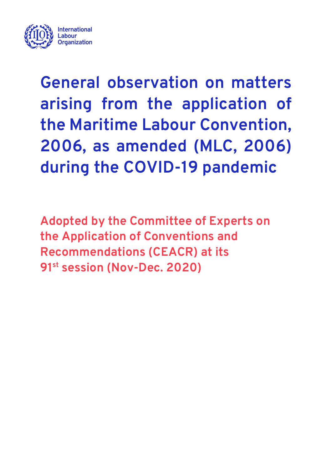

**General observation on matters arising from the application of the Maritime Labour Convention, 2006, as amended (MLC, 2006) during the COVID-19 pandemic**

**Adopted by the Committee of Experts on the Application of Conventions and Recommendations (CEACR) at its 91st session (Nov-Dec. 2020)**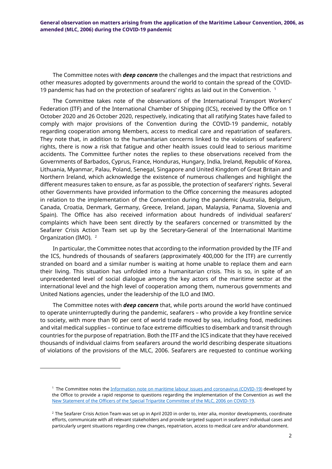**General observation on matters arising from the application of the Maritime Labour Convention, 2006, as amended (MLC, 2006) during the COVID-19 pandemic**

The Committee notes with *deep concern* the challenges and the impact that restrictions and other measures adopted by governments around the world to contain the spread of the COVID-[1](#page-1-0)9 pandemic has had on the protection of seafarers' rights as laid out in the Convention.  $1$ 

The Committee takes note of the observations of the International Transport Workers' Federation (ITF) and of the International Chamber of Shipping (ICS), received by the Office on 1 October 2020 and 26 October 2020, respectively, indicating that all ratifying States have failed to comply with major provisions of the Convention during the COVID-19 pandemic, notably regarding cooperation among Members, access to medical care and repatriation of seafarers. They note that, in addition to the humanitarian concerns linked to the violations of seafarers' rights, there is now a risk that fatigue and other health issues could lead to serious maritime accidents. The Committee further notes the replies to these observations received from the Governments of Barbados, Cyprus, France, Honduras, Hungary, India, Ireland, Republic of Korea, Lithuania, Myanmar, Palau, Poland, Senegal, Singapore and United Kingdom of Great Britain and Northern Ireland, which acknowledge the existence of numerous challenges and highlight the different measures taken to ensure, as far as possible, the protection of seafarers' rights. Several other Governments have provided information to the Office concerning the measures adopted in relation to the implementation of the Convention during the pandemic (Australia, Belgium, Canada, Croatia, Denmark, Germany, Greece, Ireland, Japan, Malaysia, Panama, Slovenia and Spain). The Office has also received information about hundreds of individual seafarers' complaints which have been sent directly by the seafarers concerned or transmitted by the Seafarer Crisis Action Team set up by the Secretary-General of the International Maritime Organization (IMO). <sup>[2](#page-1-1)</sup>

In particular, the Committee notes that according to the information provided by the ITF and the ICS, hundreds of thousands of seafarers (approximately 400,000 for the ITF) are currently stranded on board and a similar number is waiting at home unable to replace them and earn their living. This situation has unfolded into a humanitarian crisis. This is so, in spite of an unprecedented level of social dialogue among the key actors of the maritime sector at the international level and the high level of cooperation among them, numerous governments and United Nations agencies, under the leadership of the ILO and IMO.

The Committee notes with *deep concern* that, while ports around the world have continued to operate uninterruptedly during the pandemic, seafarers – who provide a key frontline service to society, with more than 90 per cent of world trade moved by sea, including food, medicines and vital medical supplies – continue to face extreme difficulties to disembark and transit through countries for the purpose of repatriation. Both the ITF and the ICS indicate that they have received thousands of individual claims from seafarers around the world describing desperate situations of violations of the provisions of the MLC, 2006. Seafarers are requested to continue working

<span id="page-1-0"></span>-

<sup>&</sup>lt;sup>1</sup> The Committee notes th[e Information note on maritime labour issues and coronavirus \(COVID-19\)](https://www.ilo.org/wcmsp5/groups/public/---ed_norm/---normes/documents/genericdocument/wcms_741024.pdf) developed by the Office to provide a rapid response to questions regarding the implementation of the Convention as well the [New Statement of the Officers of the Special Tripartite Committee of the MLC,](https://www.ilo.org/wcmsp5/groups/public/---ed_norm/---normes/documents/statement/wcms_756782.pdf) 2006 on COVID-19.

<span id="page-1-1"></span> $2$  The Seafarer Crisis Action Team was set up in April 2020 in order to, inter alia, monitor developments, coordinate efforts, communicate with all relevant stakeholders and provide targeted support in seafarers' individual cases and particularly urgent situations regarding crew changes, repatriation, access to medical care and/or abandonment.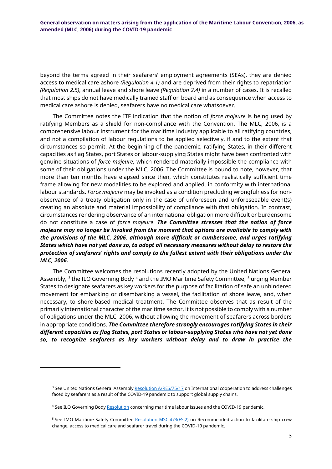beyond the terms agreed in their seafarers' employment agreements (SEAs), they are denied access to medical care ashore *(Regulation 4.1)* and are deprived from their rights to repatriation *(Regulation 2.5)*, annual leave and shore leave *(Regulation 2.4)* in a number of cases. It is recalled that most ships do not have medically trained staff on board and as consequence when access to medical care ashore is denied, seafarers have no medical care whatsoever.

The Committee notes the ITF indication that the notion of *force majeure* is being used by ratifying Members as a shield for non-compliance with the Convention. The MLC, 2006, is a comprehensive labour instrument for the maritime industry applicable to all ratifying countries, and not a compilation of labour regulations to be applied selectively, if and to the extent that circumstances so permit. At the beginning of the pandemic, ratifying States, in their different capacities as flag States, port States or labour-supplying States might have been confronted with genuine situations of *force majeure*, which rendered materially impossible the compliance with some of their obligations under the MLC, 2006. The Committee is bound to note, however, that more than ten months have elapsed since then, which constitutes realistically sufficient time frame allowing for new modalities to be explored and applied, in conformity with international labour standards. *Force majeure* may be invoked as a condition precluding wrongfulness for nonobservance of a treaty obligation only in the case of unforeseen and unforeseeable event(s) creating an absolute and material impossibility of compliance with that obligation. In contrast, circumstances rendering observance of an international obligation more difficult or burdensome do not constitute a case of *force majeure*. *The Committee stresses that the notion of force majeure may no longer be invoked from the moment that options are available to comply with the provisions of the MLC, 2006, although more difficult or cumbersome, and urges ratifying States which have not yet done so, to adopt all necessary measures without delay to restore the protection of seafarers' rights and comply to the fullest extent with their obligations under the MLC, 2006.*

The Committee welcomes the resolutions recently adopted by the United Nations General Assembly, <sup>[3](#page-2-0)</sup> the ILO Governing Body <sup>[4](#page-2-1)</sup> and the IMO Maritime Safety Committee, <sup>[5](#page-2-2)</sup> urging Member States to designate seafarers as key workers for the purpose of facilitation of safe an unhindered movement for embarking or disembarking a vessel, the facilitation of shore leave, and, when necessary, to shore-based medical treatment. The Committee observes that as result of the primarily international character of the maritime sector, it is not possible to comply with a number of obligations under the MLC, 2006, without allowing the movement of seafarers across borders in appropriate conditions. *The Committee therefore strongly encourages ratifying States in their different capacities as flag States, port States or labour-supplying States who have not yet done so, to recognize seafarers as key workers without delay and to draw in practice the* 

<span id="page-2-0"></span>-

<sup>&</sup>lt;sup>3</sup> See United Nations General Assembl[y Resolution A/RES/75/17](https://www.undocs.org/en/A/75/L.37) on International cooperation to address challenges faced by seafarers as a result of the COVID-19 pandemic to support global supply chains.

<span id="page-2-1"></span><sup>4</sup> See ILO Governing Bod[y Resolution](https://www.ilo.org/gb/GBSessions/GB340/ins/WCMS_760649/lang--en/index.htm) concerning maritime labour issues and the COVID-19 pandemic.

<span id="page-2-2"></span><sup>5</sup> See IMO Maritime Safety Committee [Resolution MSC.473\(ES.2\)](https://www.imo.org/en/MediaCentre/PressBriefings/Pages/29-MSC-Ex-Session-seafarer-resolution.aspx) on Recommended action to facilitate ship crew change, access to medical care and seafarer travel during the COVID-19 pandemic.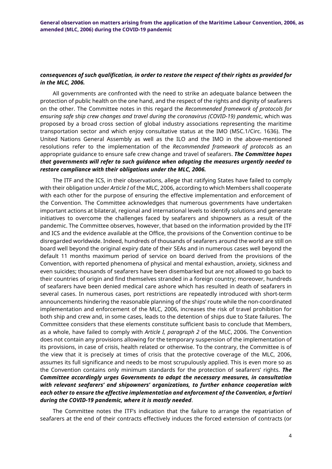## *consequences of such qualification, in order to restore the respect of their rights as provided for in the MLC, 2006.*

All governments are confronted with the need to strike an adequate balance between the protection of public health on the one hand, and the respect of the rights and dignity of seafarers on the other. The Committee notes in this regard the *Recommended framework of protocols for ensuring safe ship crew changes and travel during the coronavirus (COVID-19) pandemic*, which was proposed by a broad cross section of global industry associations representing the maritime transportation sector and which enjoy consultative status at the IMO (MSC.1/Circ. 1636). The United Nations General Assembly as well as the ILO and the IMO in the above-mentioned resolutions refer to the implementation of the *Recommended framework of protocols* as an appropriate guidance to ensure safe crew change and travel of seafarers. *The Committee hopes that governments will refer to such guidance when adopting the measures urgently needed to restore compliance with their obligations under the MLC, 2006.*

The ITF and the ICS, in their observations, allege that ratifying States have failed to comply with their obligation under *Article I* of the MLC, 2006, according to which Members shall cooperate with each other for the purpose of ensuring the effective implementation and enforcement of the Convention. The Committee acknowledges that numerous governments have undertaken important actions at bilateral, regional and international levels to identify solutions and generate initiatives to overcome the challenges faced by seafarers and shipowners as a result of the pandemic. The Committee observes, however, that based on the information provided by the ITF and ICS and the evidence available at the Office, the provisions of the Convention continue to be disregarded worldwide. Indeed, hundreds of thousands of seafarers around the world are still on board well beyond the original expiry date of their SEAs and in numerous cases well beyond the default 11 months maximum period of service on board derived from the provisions of the Convention, with reported phenomena of physical and mental exhaustion, anxiety, sickness and even suicides; thousands of seafarers have been disembarked but are not allowed to go back to their countries of origin and find themselves stranded in a foreign country; moreover, hundreds of seafarers have been denied medical care ashore which has resulted in death of seafarers in several cases. In numerous cases, port restrictions are repeatedly introduced with short-term announcements hindering the reasonable planning of the ships' route while the non-coordinated implementation and enforcement of the MLC, 2006, increases the risk of travel prohibition for both ship and crew and, in some cases, leads to the detention of ships due to State failures. The Committee considers that these elements constitute sufficient basis to conclude that Members, as a whole, have failed to comply with *Article I, paragraph 2* of the MLC, 2006. The Convention does not contain any provisions allowing for the temporary suspension of the implementation of its provisions, in case of crisis, health related or otherwise. To the contrary, the Committee is of the view that it is precisely at times of crisis that the protective coverage of the MLC, 2006, assumes its full significance and needs to be most scrupulously applied. This is even more so as the Convention contains only minimum standards for the protection of seafarers' rights. *The Committee accordingly urges Governments to adopt the necessary measures, in consultation with relevant seafarers' and shipowners' organizations, to further enhance cooperation with each other to ensure the effective implementation and enforcement of the Convention, a fortiori during the COVID-19 pandemic, where it is mostly needed*.

The Committee notes the ITF's indication that the failure to arrange the repatriation of seafarers at the end of their contracts effectively induces the forced extension of contracts (or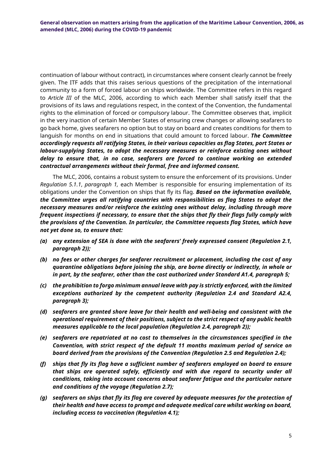continuation of labour without contract), in circumstances where consent clearly cannot be freely given. The ITF adds that this raises serious questions of the precipitation of the international community to a form of forced labour on ships worldwide. The Committee refers in this regard to *Article III* of the MLC, 2006, according to which each Member shall satisfy itself that the provisions of its laws and regulations respect, in the context of the Convention, the fundamental rights to the elimination of forced or compulsory labour. The Committee observes that, implicit in the very inaction of certain Member States of ensuring crew changes or allowing seafarers to go back home, gives seafarers no option but to stay on board and creates conditions for them to languish for months on end in situations that could amount to forced labour. *The Committee accordingly requests all ratifying States, in their various capacities as flag States, port States or labour-supplying States, to adopt the necessary measures or reinforce existing ones without delay to ensure that, in no case, seafarers are forced to continue working on extended contractual arrangements without their formal, free and informed consent.*

The MLC, 2006, contains a robust system to ensure the enforcement of its provisions. Under *Regulation 5.1.1*, *paragraph 1,* each Member is responsible for ensuring implementation of its obligations under the Convention on ships that fly its flag. *Based on the information available, the Committee urges all ratifying countries with responsibilities as flag States to adopt the necessary measures and/or reinforce the existing ones without delay, including through more frequent inspections if necessary, to ensure that the ships that fly their flags fully comply with the provisions of the Convention. In particular, the Committee requests flag States, which have not yet done so, to ensure that:*

- *(a) any extension of SEA is done with the seafarers' freely expressed consent (Regulation 2.1, paragraph 2));*
- *(b) no fees or other charges for seafarer recruitment or placement, including the cost of any quarantine obligations before joining the ship, are borne directly or indirectly, in whole or in part, by the seafarer, other than the cost authorized under Standard A1.4, paragraph 5;*
- *(c) the prohibition to forgo minimum annual leave with pay is strictly enforced, with the limited exceptions authorized by the competent authority (Regulation 2.4 and Standard A2.4, paragraph 3);*
- *(d) seafarers are granted shore leave for their health and well-being and consistent with the operational requirement of their positions, subject to the strict respect of any public health measures applicable to the local population (Regulation 2.4, paragraph 2));*
- *(e) seafarers are repatriated at no cost to themselves in the circumstances specified in the Convention, with strict respect of the default 11 months maximum period of service on board derived from the provisions of the Convention (Regulation 2.5 and Regulation 2.4);*
- *(f) ships that fly its flag have a sufficient number of seafarers employed on board to ensure that ships are operated safely, efficiently and with due regard to security under all conditions, taking into account concerns about seafarer fatigue and the particular nature and conditions of the voyage (Regulation 2.7);*
- *(g) seafarers on ships that fly its flag are covered by adequate measures for the protection of their health and have access to prompt and adequate medical care whilst working on board, including access to vaccination (Regulation 4.1);*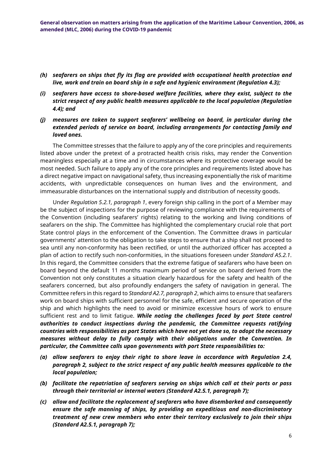- *(h) seafarers on ships that fly its flag are provided with occupational health protection and live, work and train on board ship in a safe and hygienic environment (Regulation 4.3);*
- *(i) seafarers have access to shore-based welfare facilities, where they exist, subject to the strict respect of any public health measures applicable to the local population (Regulation 4.4); and*
- *(j) measures are taken to support seafarers' wellbeing on board, in particular during the extended periods of service on board, including arrangements for contacting family and loved ones.*

The Committee stresses that the failure to apply any of the core principles and requirements listed above under the pretext of a protracted health crisis risks, may render the Convention meaningless especially at a time and in circumstances where its protective coverage would be most needed. Such failure to apply any of the core principles and requirements listed above has a direct negative impact on navigational safety, thus increasing exponentially the risk of maritime accidents, with unpredictable consequences on human lives and the environment, and immeasurable disturbances on the international supply and distribution of necessity goods.

Under *Regulation 5.2.1, paragraph 1*, every foreign ship calling in the port of a Member may be the subject of inspections for the purpose of reviewing compliance with the requirements of the Convention (including seafarers' rights) relating to the working and living conditions of seafarers on the ship. The Committee has highlighted the complementary crucial role that port State control plays in the enforcement of the Convention. The Committee draws in particular governments' attention to the obligation to take steps to ensure that a ship shall not proceed to sea until any non-conformity has been rectified, or until the authorized officer has accepted a plan of action to rectify such non-conformities, in the situations foreseen under *Standard A5.2.1*. In this regard, the Committee considers that the extreme fatigue of seafarers who have been on board beyond the default 11 months maximum period of service on board derived from the Convention not only constitutes a situation clearly hazardous for the safety and health of the seafarers concerned, but also profoundly endangers the safety of navigation in general. The Committee refers in this regard to *Standard A2.7, paragraph 2*, which aims to ensure that seafarers work on board ships with sufficient personnel for the safe, efficient and secure operation of the ship and which highlights the need to avoid or minimize excessive hours of work to ensure sufficient rest and to limit fatigue. *While noting the challenges faced by port State control authorities to conduct inspections during the pandemic, the Committee requests ratifying countries with responsibilities as port States which have not yet done so, to adopt the necessary measures without delay to fully comply with their obligations under the Convention. In particular, the Committee calls upon governments with port State responsibilities to:*

- *(a) allow seafarers to enjoy their right to shore leave in accordance with Regulation 2.4, paragraph 2, subject to the strict respect of any public health measures applicable to the local population;*
- *(b) facilitate the repatriation of seafarers serving on ships which call at their ports or pass through their territorial or internal waters (Standard A2.5.1, paragraph 7);*
- *(c) allow and facilitate the replacement of seafarers who have disembarked and consequently ensure the safe manning of ships, by providing an expeditious and non-discriminatory treatment of new crew members who enter their territory exclusively to join their ships (Standard A2.5.1, paragraph 7);*